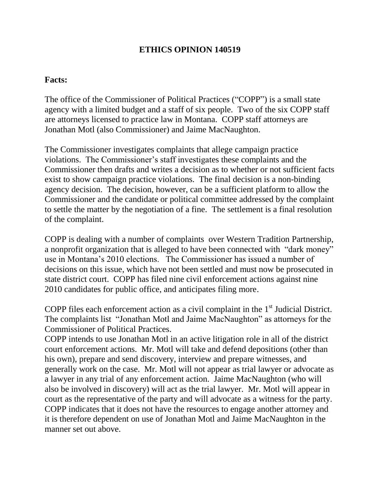#### **ETHICS OPINION 140519**

#### **Facts:**

The office of the Commissioner of Political Practices ("COPP") is a small state agency with a limited budget and a staff of six people. Two of the six COPP staff are attorneys licensed to practice law in Montana. COPP staff attorneys are Jonathan Motl (also Commissioner) and Jaime MacNaughton.

The Commissioner investigates complaints that allege campaign practice violations. The Commissioner's staff investigates these complaints and the Commissioner then drafts and writes a decision as to whether or not sufficient facts exist to show campaign practice violations. The final decision is a non-binding agency decision. The decision, however, can be a sufficient platform to allow the Commissioner and the candidate or political committee addressed by the complaint to settle the matter by the negotiation of a fine. The settlement is a final resolution of the complaint.

COPP is dealing with a number of complaints over Western Tradition Partnership, a nonprofit organization that is alleged to have been connected with "dark money" use in Montana's 2010 elections. The Commissioner has issued a number of decisions on this issue, which have not been settled and must now be prosecuted in state district court. COPP has filed nine civil enforcement actions against nine 2010 candidates for public office, and anticipates filing more.

COPP files each enforcement action as a civil complaint in the  $1<sup>st</sup>$  Judicial District. The complaints list "Jonathan Motl and Jaime MacNaughton" as attorneys for the Commissioner of Political Practices.

COPP intends to use Jonathan Motl in an active litigation role in all of the district court enforcement actions. Mr. Motl will take and defend depositions (other than his own), prepare and send discovery, interview and prepare witnesses, and generally work on the case. Mr. Motl will not appear as trial lawyer or advocate as a lawyer in any trial of any enforcement action. Jaime MacNaughton (who will also be involved in discovery) will act as the trial lawyer. Mr. Motl will appear in court as the representative of the party and will advocate as a witness for the party. COPP indicates that it does not have the resources to engage another attorney and it is therefore dependent on use of Jonathan Motl and Jaime MacNaughton in the manner set out above.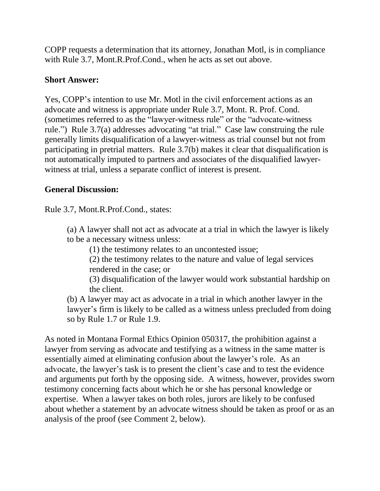COPP requests a determination that its attorney, Jonathan Motl, is in compliance with Rule 3.7, Mont.R.Prof.Cond., when he acts as set out above.

#### **Short Answer:**

Yes, COPP's intention to use Mr. Motl in the civil enforcement actions as an advocate and witness is appropriate under Rule 3.7, Mont. R. Prof. Cond. (sometimes referred to as the "lawyer-witness rule" or the "advocate-witness rule.") Rule 3.7(a) addresses advocating "at trial." Case law construing the rule generally limits disqualification of a lawyer-witness as trial counsel but not from participating in pretrial matters. Rule 3.7(b) makes it clear that disqualification is not automatically imputed to partners and associates of the disqualified lawyerwitness at trial, unless a separate conflict of interest is present.

### **General Discussion:**

Rule 3.7, Mont.R.Prof.Cond., states:

(a) A lawyer shall not act as advocate at a trial in which the lawyer is likely to be a necessary witness unless:

(1) the testimony relates to an uncontested issue;

(2) the testimony relates to the nature and value of legal services rendered in the case; or

(3) disqualification of the lawyer would work substantial hardship on the client.

(b) A lawyer may act as advocate in a trial in which another lawyer in the lawyer's firm is likely to be called as a witness unless precluded from doing so by Rule 1.7 or Rule 1.9.

As noted in Montana Formal Ethics Opinion 050317, the prohibition against a lawyer from serving as advocate and testifying as a witness in the same matter is essentially aimed at eliminating confusion about the lawyer's role. As an advocate, the lawyer's task is to present the client's case and to test the evidence and arguments put forth by the opposing side. A witness, however, provides sworn testimony concerning facts about which he or she has personal knowledge or expertise. When a lawyer takes on both roles, jurors are likely to be confused about whether a statement by an advocate witness should be taken as proof or as an analysis of the proof (see Comment 2, below).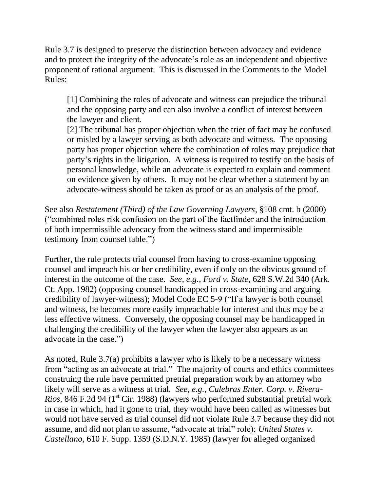Rule 3.7 is designed to preserve the distinction between advocacy and evidence and to protect the integrity of the advocate's role as an independent and objective proponent of rational argument. This is discussed in the Comments to the Model Rules:

[1] Combining the roles of advocate and witness can prejudice the tribunal and the opposing party and can also involve a conflict of interest between the lawyer and client.

[2] The tribunal has proper objection when the trier of fact may be confused or misled by a lawyer serving as both advocate and witness. The opposing party has proper objection where the combination of roles may prejudice that party's rights in the litigation. A witness is required to testify on the basis of personal knowledge, while an advocate is expected to explain and comment on evidence given by others. It may not be clear whether a statement by an advocate-witness should be taken as proof or as an analysis of the proof.

See also *Restatement (Third) of the Law Governing Lawyers,* §108 cmt. b (2000) ("combined roles risk confusion on the part of the factfinder and the introduction of both impermissible advocacy from the witness stand and impermissible testimony from counsel table.")

Further, the rule protects trial counsel from having to cross-examine opposing counsel and impeach his or her credibility, even if only on the obvious ground of interest in the outcome of the case. *See, e.g., Ford v. State,* 628 S.W.2d 340 (Ark. Ct. App. 1982) (opposing counsel handicapped in cross-examining and arguing credibility of lawyer-witness); Model Code EC 5-9 ("If a lawyer is both counsel and witness, he becomes more easily impeachable for interest and thus may be a less effective witness. Conversely, the opposing counsel may be handicapped in challenging the credibility of the lawyer when the lawyer also appears as an advocate in the case.")

As noted, Rule 3.7(a) prohibits a lawyer who is likely to be a necessary witness from "acting as an advocate at trial." The majority of courts and ethics committees construing the rule have permitted pretrial preparation work by an attorney who likely will serve as a witness at trial. *See, e.g., Culebras Enter. Corp. v. Rivera-Rios,* 846 F.2d 94 (1<sup>st</sup> Cir. 1988) (lawyers who performed substantial pretrial work in case in which, had it gone to trial, they would have been called as witnesses but would not have served as trial counsel did not violate Rule 3.7 because they did not assume, and did not plan to assume, "advocate at trial" role); *United States v. Castellano,* 610 F. Supp. 1359 (S.D.N.Y. 1985) (lawyer for alleged organized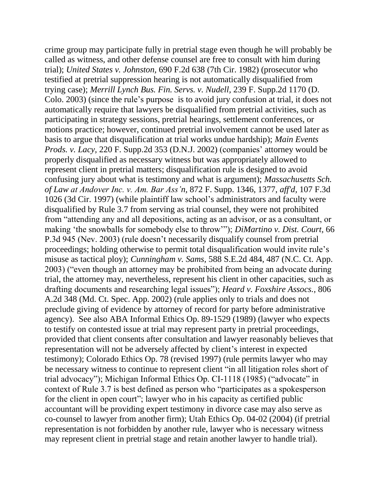crime group may participate fully in pretrial stage even though he will probably be called as witness, and other defense counsel are free to consult with him during trial); *United States v. Johnston,* 690 F.2d 638 (7th Cir. 1982) (prosecutor who testified at pretrial suppression hearing is not automatically disqualified from trying case); *Merrill Lynch Bus. Fin. Servs. v. Nudell,* 239 F. Supp.2d 1170 (D. Colo. 2003) (since the rule's purpose is to avoid jury confusion at trial, it does not automatically require that lawyers be disqualified from pretrial activities, such as participating in strategy sessions, pretrial hearings, settlement conferences, or motions practice; however, continued pretrial involvement cannot be used later as basis to argue that disqualification at trial works undue hardship); *Main Events Prods. v. Lacy,* 220 F. Supp.2d 353 (D.N.J. 2002) (companies' attorney would be properly disqualified as necessary witness but was appropriately allowed to represent client in pretrial matters; disqualification rule is designed to avoid confusing jury about what is testimony and what is argument); *Massachusetts Sch. of Law at Andover Inc. v. Am. Bar Ass'n,* 872 F. Supp. 1346, 1377, *aff'd,* 107 F.3d 1026 (3d Cir. 1997) (while plaintiff law school's administrators and faculty were disqualified by Rule 3.7 from serving as trial counsel, they were not prohibited from "attending any and all depositions, acting as an advisor, or as a consultant, or making 'the snowballs for somebody else to throw'"); *DiMartino v. Dist. Court,* 66 P.3d 945 (Nev. 2003) (rule doesn't necessarily disqualify counsel from pretrial proceedings; holding otherwise to permit total disqualification would invite rule's misuse as tactical ploy); *Cunningham v. Sams,* 588 S.E.2d 484, 487 (N.C. Ct. App. 2003) ("even though an attorney may be prohibited from being an advocate during trial, the attorney may, nevertheless, represent his client in other capacities, such as drafting documents and researching legal issues"); *Heard v. Foxshire Assocs.,* 806 A.2d 348 (Md. Ct. Spec. App. 2002) (rule applies only to trials and does not preclude giving of evidence by attorney of record for party before administrative agency). See also ABA Informal Ethics Op. 89-1529 (1989) (lawyer who expects to testify on contested issue at trial may represent party in pretrial proceedings, provided that client consents after consultation and lawyer reasonably believes that representation will not be adversely affected by client's interest in expected testimony); Colorado Ethics Op. 78 (revised 1997) (rule permits lawyer who may be necessary witness to continue to represent client "in all litigation roles short of trial advocacy"); Michigan Informal Ethics Op. CI-1118 (1985) ("advocate" in context of Rule 3.7 is best defined as person who "participates as a spokesperson for the client in open court"; lawyer who in his capacity as certified public accountant will be providing expert testimony in divorce case may also serve as co-counsel to lawyer from another firm); Utah Ethics Op. 04-02 (2004) (if pretrial representation is not forbidden by another rule, lawyer who is necessary witness may represent client in pretrial stage and retain another lawyer to handle trial).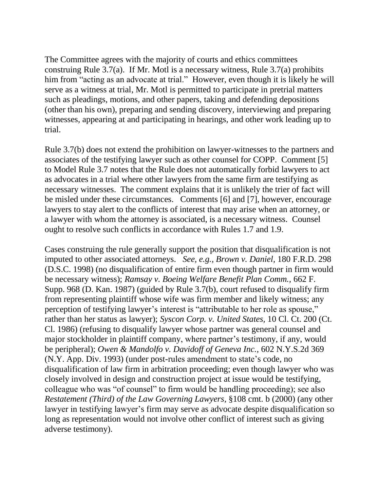The Committee agrees with the majority of courts and ethics committees construing Rule 3.7(a). If Mr. Motl is a necessary witness, Rule 3.7(a) prohibits him from "acting as an advocate at trial." However, even though it is likely he will serve as a witness at trial, Mr. Motl is permitted to participate in pretrial matters such as pleadings, motions, and other papers, taking and defending depositions (other than his own), preparing and sending discovery, interviewing and preparing witnesses, appearing at and participating in hearings, and other work leading up to trial.

Rule 3.7(b) does not extend the prohibition on lawyer-witnesses to the partners and associates of the testifying lawyer such as other counsel for COPP. Comment [5] to Model Rule 3.7 notes that the Rule does not automatically forbid lawyers to act as advocates in a trial where other lawyers from the same firm are testifying as necessary witnesses. The comment explains that it is unlikely the trier of fact will be misled under these circumstances. Comments [6] and [7], however, encourage lawyers to stay alert to the conflicts of interest that may arise when an attorney, or a lawyer with whom the attorney is associated, is a necessary witness. Counsel ought to resolve such conflicts in accordance with Rules 1.7 and 1.9.

Cases construing the rule generally support the position that disqualification is not imputed to other associated attorneys. *See, e.g., Brown v. Daniel,* 180 F.R.D. 298 (D.S.C. 1998) (no disqualification of entire firm even though partner in firm would be necessary witness); *Ramsay v. Boeing Welfare Benefit Plan Comm.,* 662 F. Supp. 968 (D. Kan. 1987) (guided by Rule 3.7(b), court refused to disqualify firm from representing plaintiff whose wife was firm member and likely witness; any perception of testifying lawyer's interest is "attributable to her role as spouse," rather than her status as lawyer); *Syscon Corp. v. United States,* 10 Cl. Ct. 200 (Ct. Cl. 1986) (refusing to disqualify lawyer whose partner was general counsel and major stockholder in plaintiff company, where partner's testimony, if any, would be peripheral); *Owen & Mandolfo v. Davidoff of Geneva Inc.,* 602 N.Y.S.2d 369 (N.Y. App. Div. 1993) (under post-rules amendment to state's code, no disqualification of law firm in arbitration proceeding; even though lawyer who was closely involved in design and construction project at issue would be testifying, colleague who was "of counsel" to firm would be handling proceeding); see also *Restatement (Third) of the Law Governing Lawyers,* §108 cmt. b (2000) (any other lawyer in testifying lawyer's firm may serve as advocate despite disqualification so long as representation would not involve other conflict of interest such as giving adverse testimony).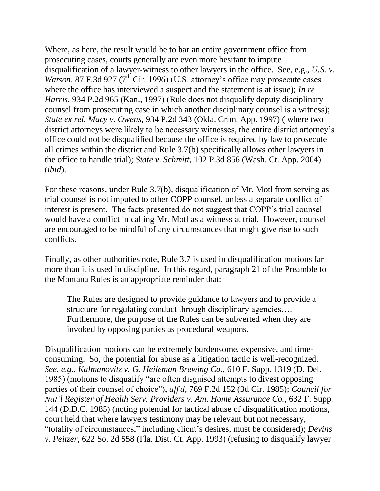Where, as here, the result would be to bar an entire government office from prosecuting cases, courts generally are even more hesitant to impute disqualification of a lawyer-witness to other lawyers in the office. See, e.g., *U.S. v. Watson,* 87 F.3d 927 ( $7<sup>th</sup>$  Cir. 1996) (U.S. attorney's office may prosecute cases where the office has interviewed a suspect and the statement is at issue); *In re Harris,* 934 P.2d 965 (Kan., 1997) (Rule does not disqualify deputy disciplinary counsel from prosecuting case in which another disciplinary counsel is a witness); *State ex rel. Macy v. Owens,* 934 P.2d 343 (Okla. Crim. App. 1997) ( where two district attorneys were likely to be necessary witnesses, the entire district attorney's office could not be disqualified because the office is required by law to prosecute all crimes within the district and Rule 3.7(b) specifically allows other lawyers in the office to handle trial); *State v. Schmitt,* 102 P.3d 856 (Wash. Ct. App. 2004) (*ibid*).

For these reasons, under Rule 3.7(b), disqualification of Mr. Motl from serving as trial counsel is not imputed to other COPP counsel, unless a separate conflict of interest is present. The facts presented do not suggest that COPP's trial counsel would have a conflict in calling Mr. Motl as a witness at trial. However, counsel are encouraged to be mindful of any circumstances that might give rise to such conflicts.

Finally, as other authorities note, Rule 3.7 is used in disqualification motions far more than it is used in discipline. In this regard, paragraph 21 of the Preamble to the Montana Rules is an appropriate reminder that:

The Rules are designed to provide guidance to lawyers and to provide a structure for regulating conduct through disciplinary agencies…. Furthermore, the purpose of the Rules can be subverted when they are invoked by opposing parties as procedural weapons.

Disqualification motions can be extremely burdensome, expensive, and timeconsuming. So, the potential for abuse as a litigation tactic is well-recognized. *See, e.g., Kalmanovitz v. G. Heileman Brewing Co.,* 610 F. Supp. 1319 (D. Del. 1985) (motions to disqualify "are often disguised attempts to divest opposing parties of their counsel of choice"), *aff'd,* 769 F.2d 152 (3d Cir. 1985); *Council for Nat'l Register of Health Serv. Providers v. Am. Home Assurance Co.,* 632 F. Supp. 144 (D.D.C. 1985) (noting potential for tactical abuse of disqualification motions, court held that where lawyers testimony may be relevant but not necessary, "totality of circumstances," including client's desires, must be considered); *Devins v. Peitzer,* 622 So. 2d 558 (Fla. Dist. Ct. App. 1993) (refusing to disqualify lawyer